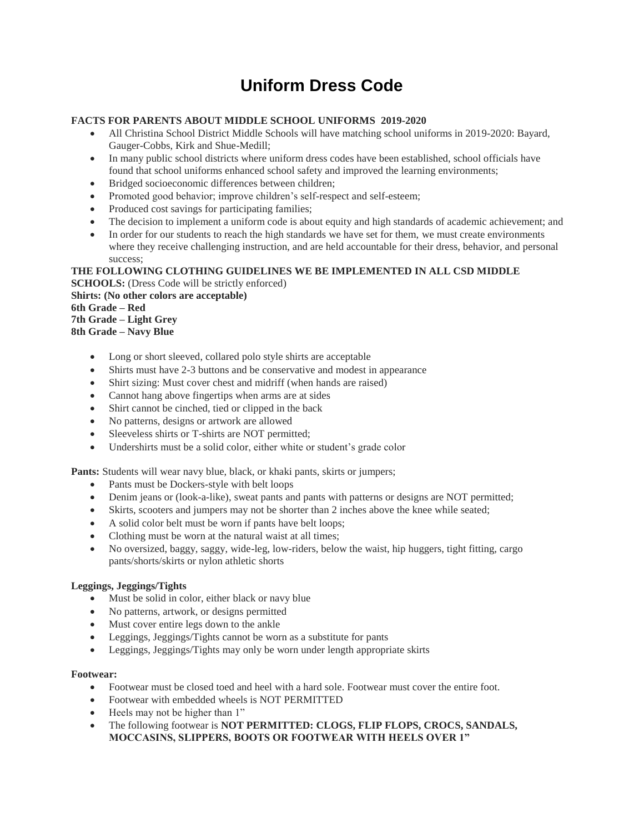# **Uniform Dress Code**

# **FACTS FOR PARENTS ABOUT MIDDLE SCHOOL UNIFORMS 2019-2020**

- All Christina School District Middle Schools will have matching school uniforms in 2019-2020: Bayard, Gauger-Cobbs, Kirk and Shue-Medill;
- In many public school districts where uniform dress codes have been established, school officials have found that school uniforms enhanced school safety and improved the learning environments;
- Bridged socioeconomic differences between children;
- Promoted good behavior; improve children's self-respect and self-esteem;
- Produced cost savings for participating families;
- The decision to implement a uniform code is about equity and high standards of academic achievement; and
- In order for our students to reach the high standards we have set for them, we must create environments where they receive challenging instruction, and are held accountable for their dress, behavior, and personal success;

# **THE FOLLOWING CLOTHING GUIDELINES WE BE IMPLEMENTED IN ALL CSD MIDDLE**

**SCHOOLS:** (Dress Code will be strictly enforced) **Shirts: (No other colors are acceptable) 6th Grade – Red 7th Grade – Light Grey 8th Grade – Navy Blue**

- Long or short sleeved, collared polo style shirts are acceptable
- Shirts must have 2-3 buttons and be conservative and modest in appearance
- Shirt sizing: Must cover chest and midriff (when hands are raised)
- Cannot hang above fingertips when arms are at sides
- Shirt cannot be cinched, tied or clipped in the back
- No patterns, designs or artwork are allowed
- Sleeveless shirts or T-shirts are NOT permitted;
- Undershirts must be a solid color, either white or student's grade color

**Pants:** Students will wear navy blue, black, or khaki pants, skirts or jumpers;

- Pants must be Dockers-style with belt loops
- Denim jeans or (look-a-like), sweat pants and pants with patterns or designs are NOT permitted;
- Skirts, scooters and jumpers may not be shorter than 2 inches above the knee while seated;
- A solid color belt must be worn if pants have belt loops;
- Clothing must be worn at the natural waist at all times;
- No oversized, baggy, saggy, wide-leg, low-riders, below the waist, hip huggers, tight fitting, cargo pants/shorts/skirts or nylon athletic shorts

# **Leggings, Jeggings/Tights**

- Must be solid in color, either black or navy blue
- No patterns, artwork, or designs permitted
- Must cover entire legs down to the ankle
- Leggings, Jeggings/Tights cannot be worn as a substitute for pants
- Leggings, Jeggings/Tights may only be worn under length appropriate skirts

# **Footwear:**

- Footwear must be closed toed and heel with a hard sole. Footwear must cover the entire foot.
- Footwear with embedded wheels is NOT PERMITTED
- Heels may not be higher than 1"
- The following footwear is **NOT PERMITTED: CLOGS, FLIP FLOPS, CROCS, SANDALS, MOCCASINS, SLIPPERS, BOOTS OR FOOTWEAR WITH HEELS OVER 1"**